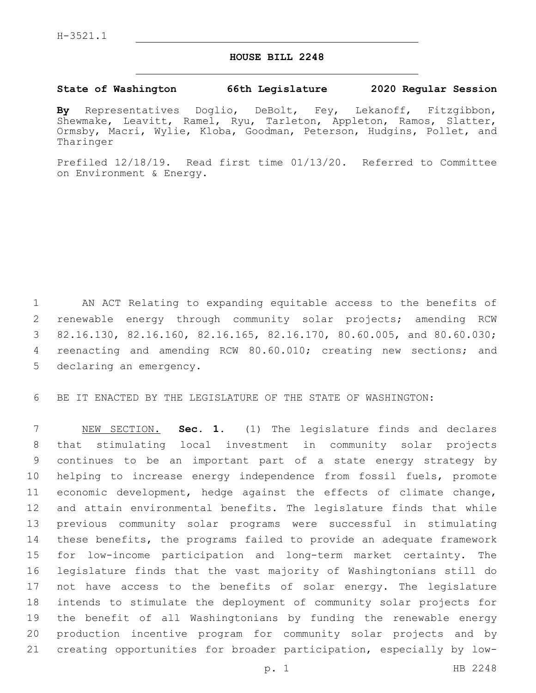## **HOUSE BILL 2248**

## **State of Washington 66th Legislature 2020 Regular Session**

**By** Representatives Doglio, DeBolt, Fey, Lekanoff, Fitzgibbon, Shewmake, Leavitt, Ramel, Ryu, Tarleton, Appleton, Ramos, Slatter, Ormsby, Macri, Wylie, Kloba, Goodman, Peterson, Hudgins, Pollet, and Tharinger

Prefiled 12/18/19. Read first time 01/13/20. Referred to Committee on Environment & Energy.

 AN ACT Relating to expanding equitable access to the benefits of renewable energy through community solar projects; amending RCW 82.16.130, 82.16.160, 82.16.165, 82.16.170, 80.60.005, and 80.60.030; reenacting and amending RCW 80.60.010; creating new sections; and 5 declaring an emergency.

BE IT ENACTED BY THE LEGISLATURE OF THE STATE OF WASHINGTON:

 NEW SECTION. **Sec. 1.** (1) The legislature finds and declares that stimulating local investment in community solar projects continues to be an important part of a state energy strategy by helping to increase energy independence from fossil fuels, promote economic development, hedge against the effects of climate change, and attain environmental benefits. The legislature finds that while previous community solar programs were successful in stimulating these benefits, the programs failed to provide an adequate framework for low-income participation and long-term market certainty. The legislature finds that the vast majority of Washingtonians still do not have access to the benefits of solar energy. The legislature intends to stimulate the deployment of community solar projects for the benefit of all Washingtonians by funding the renewable energy production incentive program for community solar projects and by creating opportunities for broader participation, especially by low-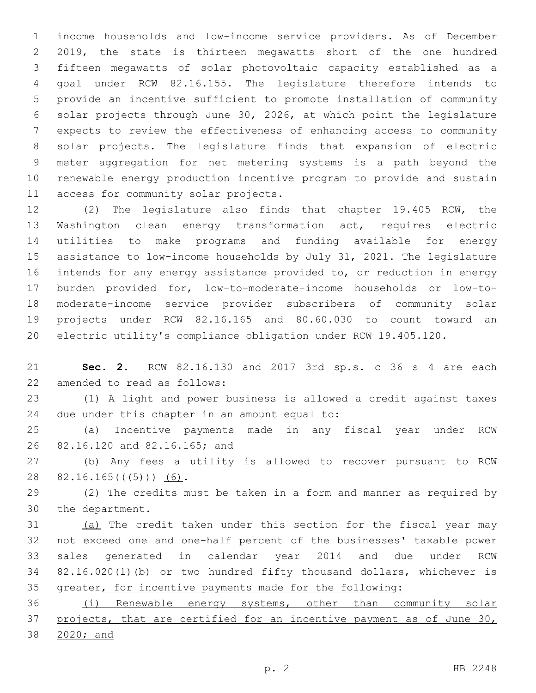income households and low-income service providers. As of December 2019, the state is thirteen megawatts short of the one hundred fifteen megawatts of solar photovoltaic capacity established as a goal under RCW 82.16.155. The legislature therefore intends to provide an incentive sufficient to promote installation of community solar projects through June 30, 2026, at which point the legislature expects to review the effectiveness of enhancing access to community solar projects. The legislature finds that expansion of electric meter aggregation for net metering systems is a path beyond the renewable energy production incentive program to provide and sustain 11 access for community solar projects.

 (2) The legislature also finds that chapter 19.405 RCW, the Washington clean energy transformation act, requires electric utilities to make programs and funding available for energy assistance to low-income households by July 31, 2021. The legislature intends for any energy assistance provided to, or reduction in energy burden provided for, low-to-moderate-income households or low-to- moderate-income service provider subscribers of community solar projects under RCW 82.16.165 and 80.60.030 to count toward an electric utility's compliance obligation under RCW 19.405.120.

 **Sec. 2.** RCW 82.16.130 and 2017 3rd sp.s. c 36 s 4 are each 22 amended to read as follows:

 (1) A light and power business is allowed a credit against taxes 24 due under this chapter in an amount equal to:

 (a) Incentive payments made in any fiscal year under RCW 26 82.16.120 and 82.16.165; and

 (b) Any fees a utility is allowed to recover pursuant to RCW 28 82.16.165( $(\overline{+5})$ ) (6).

 (2) The credits must be taken in a form and manner as required by 30 the department.

 (a) The credit taken under this section for the fiscal year may not exceed one and one-half percent of the businesses' taxable power sales generated in calendar year 2014 and due under RCW 82.16.020(1)(b) or two hundred fifty thousand dollars, whichever is greater, for incentive payments made for the following:

 (i) Renewable energy systems, other than community solar projects, that are certified for an incentive payment as of June 30, 2020; and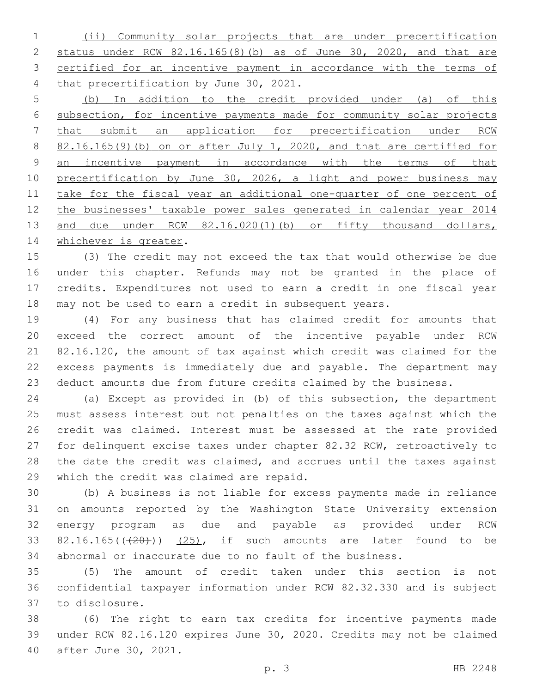(ii) Community solar projects that are under precertification status under RCW 82.16.165(8)(b) as of June 30, 2020, and that are certified for an incentive payment in accordance with the terms of that precertification by June 30, 2021.

 (b) In addition to the credit provided under (a) of this subsection, for incentive payments made for community solar projects that submit an application for precertification under RCW 82.16.165(9)(b) on or after July 1, 2020, and that are certified for 9 an incentive payment in accordance with the terms of that 10 precertification by June 30, 2026, a light and power business may take for the fiscal year an additional one-quarter of one percent of 12 the businesses' taxable power sales generated in calendar year 2014 13 and due under RCW 82.16.020(1)(b) or fifty thousand dollars, 14 whichever is greater.

 (3) The credit may not exceed the tax that would otherwise be due under this chapter. Refunds may not be granted in the place of credits. Expenditures not used to earn a credit in one fiscal year may not be used to earn a credit in subsequent years.

 (4) For any business that has claimed credit for amounts that exceed the correct amount of the incentive payable under RCW 82.16.120, the amount of tax against which credit was claimed for the excess payments is immediately due and payable. The department may deduct amounts due from future credits claimed by the business.

 (a) Except as provided in (b) of this subsection, the department must assess interest but not penalties on the taxes against which the credit was claimed. Interest must be assessed at the rate provided for delinquent excise taxes under chapter 82.32 RCW, retroactively to the date the credit was claimed, and accrues until the taxes against 29 which the credit was claimed are repaid.

 (b) A business is not liable for excess payments made in reliance on amounts reported by the Washington State University extension energy program as due and payable as provided under RCW 33 82.16.165( $(420)$ )  $(25)$ , if such amounts are later found to be abnormal or inaccurate due to no fault of the business.

 (5) The amount of credit taken under this section is not confidential taxpayer information under RCW 82.32.330 and is subject to disclosure.37

 (6) The right to earn tax credits for incentive payments made under RCW 82.16.120 expires June 30, 2020. Credits may not be claimed 40 after June 30, 2021.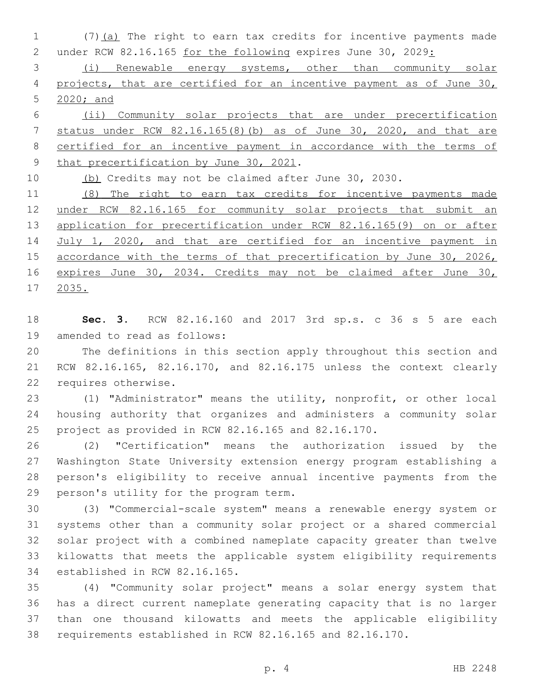1 (7)(a) The right to earn tax credits for incentive payments made under RCW 82.16.165 for the following expires June 30, 2029:

 (i) Renewable energy systems, other than community solar projects, that are certified for an incentive payment as of June 30, 2020; and

 (ii) Community solar projects that are under precertification status under RCW 82.16.165(8)(b) as of June 30, 2020, and that are certified for an incentive payment in accordance with the terms of 9 that precertification by June 30, 2021.

(b) Credits may not be claimed after June 30, 2030.

 (8) The right to earn tax credits for incentive payments made 12 under RCW 82.16.165 for community solar projects that submit an application for precertification under RCW 82.16.165(9) on or after 14 July 1, 2020, and that are certified for an incentive payment in 15 accordance with the terms of that precertification by June 30, 2026, expires June 30, 2034. Credits may not be claimed after June 30, 2035.

 **Sec. 3.** RCW 82.16.160 and 2017 3rd sp.s. c 36 s 5 are each 19 amended to read as follows:

 The definitions in this section apply throughout this section and RCW 82.16.165, 82.16.170, and 82.16.175 unless the context clearly 22 requires otherwise.

 (1) "Administrator" means the utility, nonprofit, or other local housing authority that organizes and administers a community solar project as provided in RCW 82.16.165 and 82.16.170.

 (2) "Certification" means the authorization issued by the Washington State University extension energy program establishing a person's eligibility to receive annual incentive payments from the 29 person's utility for the program term.

 (3) "Commercial-scale system" means a renewable energy system or systems other than a community solar project or a shared commercial solar project with a combined nameplate capacity greater than twelve kilowatts that meets the applicable system eligibility requirements 34 established in RCW 82.16.165.

 (4) "Community solar project" means a solar energy system that has a direct current nameplate generating capacity that is no larger than one thousand kilowatts and meets the applicable eligibility requirements established in RCW 82.16.165 and 82.16.170.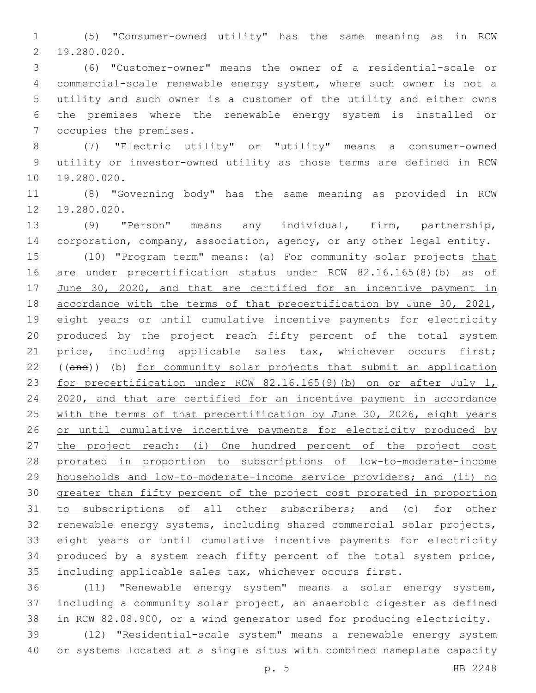(5) "Consumer-owned utility" has the same meaning as in RCW 19.280.020.2

 (6) "Customer-owner" means the owner of a residential-scale or commercial-scale renewable energy system, where such owner is not a utility and such owner is a customer of the utility and either owns the premises where the renewable energy system is installed or 7 occupies the premises.

 (7) "Electric utility" or "utility" means a consumer-owned utility or investor-owned utility as those terms are defined in RCW 10 19.280.020.

 (8) "Governing body" has the same meaning as provided in RCW 12 19.280.020.

 (9) "Person" means any individual, firm, partnership, corporation, company, association, agency, or any other legal entity. 15 (10) "Program term" means: (a) For community solar projects that are under precertification status under RCW 82.16.165(8)(b) as of June 30, 2020, and that are certified for an incentive payment in 18 accordance with the terms of that precertification by June 30, 2021, eight years or until cumulative incentive payments for electricity produced by the project reach fifty percent of the total system price, including applicable sales tax, whichever occurs first; ((and)) (b) for community solar projects that submit an application for precertification under RCW 82.16.165(9)(b) on or after July 1, 2020, and that are certified for an incentive payment in accordance 25 with the terms of that precertification by June 30, 2026, eight years 26 or until cumulative incentive payments for electricity produced by the project reach: (i) One hundred percent of the project cost prorated in proportion to subscriptions of low-to-moderate-income households and low-to-moderate-income service providers; and (ii) no greater than fifty percent of the project cost prorated in proportion 31 to subscriptions of all other subscribers; and (c) for other renewable energy systems, including shared commercial solar projects, eight years or until cumulative incentive payments for electricity produced by a system reach fifty percent of the total system price, including applicable sales tax, whichever occurs first.

 (11) "Renewable energy system" means a solar energy system, including a community solar project, an anaerobic digester as defined in RCW 82.08.900, or a wind generator used for producing electricity.

 (12) "Residential-scale system" means a renewable energy system or systems located at a single situs with combined nameplate capacity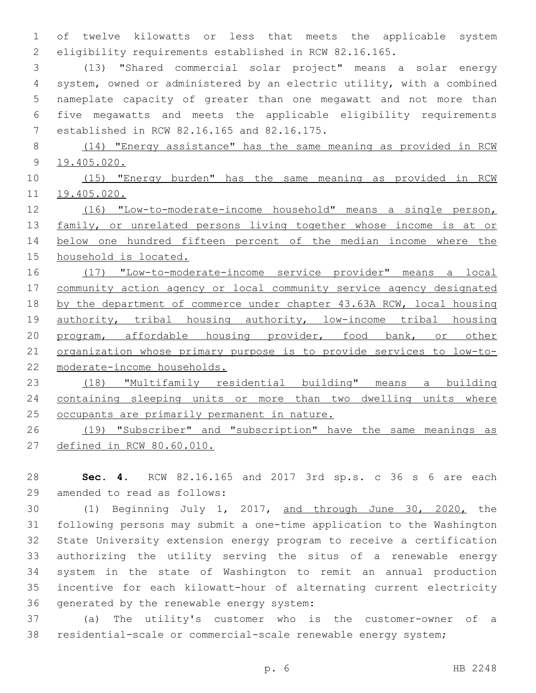of twelve kilowatts or less that meets the applicable system eligibility requirements established in RCW 82.16.165.

 (13) "Shared commercial solar project" means a solar energy system, owned or administered by an electric utility, with a combined nameplate capacity of greater than one megawatt and not more than five megawatts and meets the applicable eligibility requirements 7 established in RCW 82.16.165 and 82.16.175.

 (14) "Energy assistance" has the same meaning as provided in RCW 19.405.020.

 (15) "Energy burden" has the same meaning as provided in RCW 19.405.020.

 (16) "Low-to-moderate-income household" means a single person, 13 family, or unrelated persons living together whose income is at or below one hundred fifteen percent of the median income where the household is located.

 (17) "Low-to-moderate-income service provider" means a local 17 community action agency or local community service agency designated by the department of commerce under chapter 43.63A RCW, local housing authority, tribal housing authority, low-income tribal housing program, affordable housing provider, food bank, or other organization whose primary purpose is to provide services to low-to-moderate-income households.

 (18) "Multifamily residential building" means a building containing sleeping units or more than two dwelling units where 25 occupants are primarily permanent in nature.

 (19) "Subscriber" and "subscription" have the same meanings as defined in RCW 80.60.010.

 **Sec. 4.** RCW 82.16.165 and 2017 3rd sp.s. c 36 s 6 are each 29 amended to read as follows:

 (1) Beginning July 1, 2017, and through June 30, 2020, the following persons may submit a one-time application to the Washington State University extension energy program to receive a certification authorizing the utility serving the situs of a renewable energy system in the state of Washington to remit an annual production incentive for each kilowatt-hour of alternating current electricity 36 generated by the renewable energy system:

 (a) The utility's customer who is the customer-owner of a residential-scale or commercial-scale renewable energy system;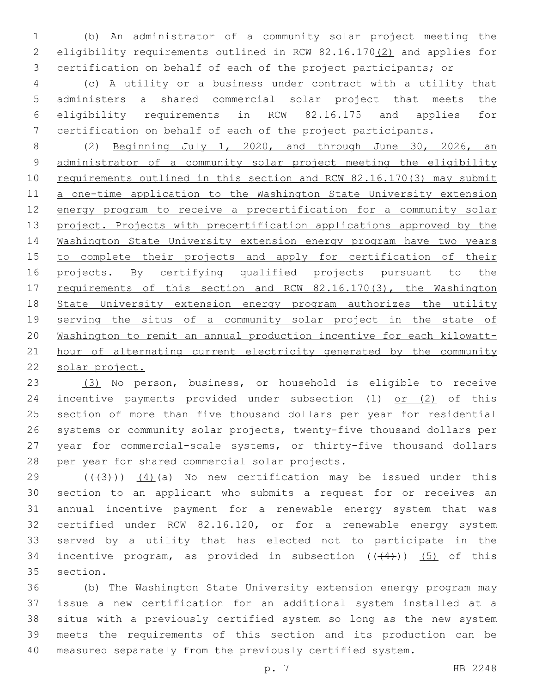(b) An administrator of a community solar project meeting the eligibility requirements outlined in RCW 82.16.170(2) and applies for certification on behalf of each of the project participants; or

 (c) A utility or a business under contract with a utility that administers a shared commercial solar project that meets the eligibility requirements in RCW 82.16.175 and applies for certification on behalf of each of the project participants.

 (2) Beginning July 1, 2020, and through June 30, 2026, an administrator of a community solar project meeting the eligibility 10 requirements outlined in this section and RCW 82.16.170(3) may submit 11 a one-time application to the Washington State University extension energy program to receive a precertification for a community solar project. Projects with precertification applications approved by the Washington State University extension energy program have two years 15 to complete their projects and apply for certification of their 16 projects. By certifying qualified projects pursuant to the 17 requirements of this section and RCW 82.16.170(3), the Washington 18 State University extension energy program authorizes the utility serving the situs of a community solar project in the state of Washington to remit an annual production incentive for each kilowatt-21 hour of alternating current electricity generated by the community solar project.

 (3) No person, business, or household is eligible to receive incentive payments provided under subsection (1) or (2) of this section of more than five thousand dollars per year for residential systems or community solar projects, twenty-five thousand dollars per year for commercial-scale systems, or thirty-five thousand dollars 28 per year for shared commercial solar projects.

 $((43+))$  (4)(a) No new certification may be issued under this section to an applicant who submits a request for or receives an annual incentive payment for a renewable energy system that was certified under RCW 82.16.120, or for a renewable energy system served by a utility that has elected not to participate in the 34 incentive program, as provided in subsection  $((+4))$  (5) of this 35 section.

 (b) The Washington State University extension energy program may issue a new certification for an additional system installed at a situs with a previously certified system so long as the new system meets the requirements of this section and its production can be measured separately from the previously certified system.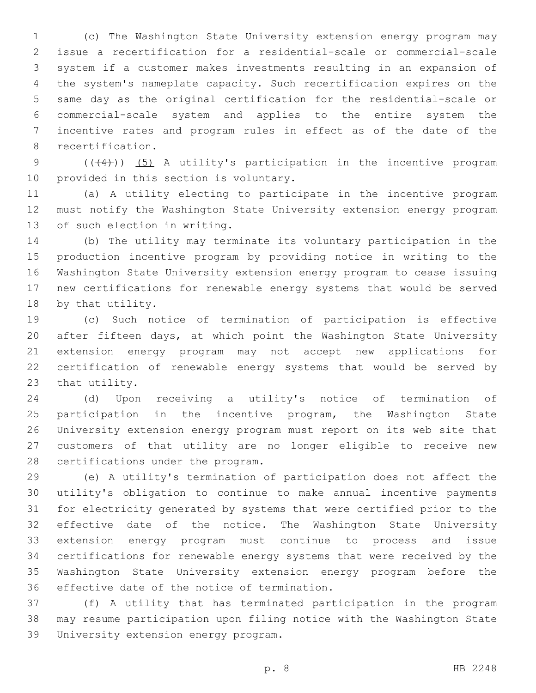(c) The Washington State University extension energy program may issue a recertification for a residential-scale or commercial-scale system if a customer makes investments resulting in an expansion of the system's nameplate capacity. Such recertification expires on the same day as the original certification for the residential-scale or commercial-scale system and applies to the entire system the incentive rates and program rules in effect as of the date of the 8 recertification.

9 ((+4))) (5) A utility's participation in the incentive program 10 provided in this section is voluntary.

 (a) A utility electing to participate in the incentive program must notify the Washington State University extension energy program 13 of such election in writing.

 (b) The utility may terminate its voluntary participation in the production incentive program by providing notice in writing to the Washington State University extension energy program to cease issuing new certifications for renewable energy systems that would be served 18 by that utility.

 (c) Such notice of termination of participation is effective after fifteen days, at which point the Washington State University extension energy program may not accept new applications for certification of renewable energy systems that would be served by 23 that utility.

 (d) Upon receiving a utility's notice of termination of participation in the incentive program, the Washington State University extension energy program must report on its web site that customers of that utility are no longer eligible to receive new 28 certifications under the program.

 (e) A utility's termination of participation does not affect the utility's obligation to continue to make annual incentive payments for electricity generated by systems that were certified prior to the effective date of the notice. The Washington State University extension energy program must continue to process and issue certifications for renewable energy systems that were received by the Washington State University extension energy program before the 36 effective date of the notice of termination.

 (f) A utility that has terminated participation in the program may resume participation upon filing notice with the Washington State 39 University extension energy program.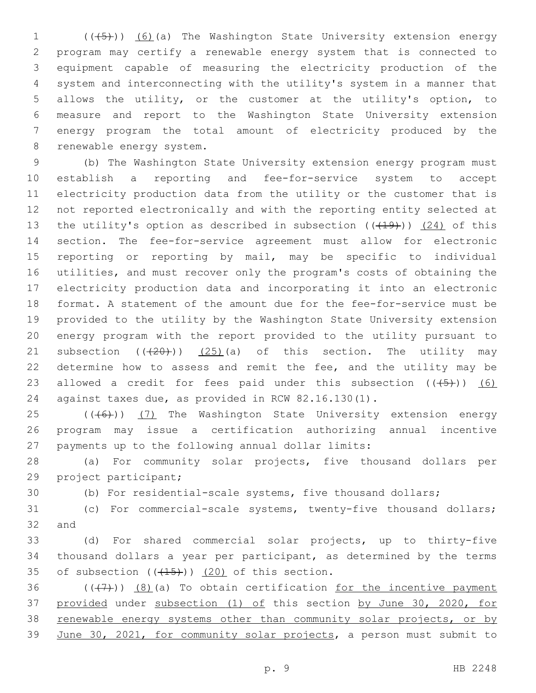1 (((45))) (6)(a) The Washington State University extension energy program may certify a renewable energy system that is connected to equipment capable of measuring the electricity production of the system and interconnecting with the utility's system in a manner that allows the utility, or the customer at the utility's option, to measure and report to the Washington State University extension energy program the total amount of electricity produced by the 8 renewable energy system.

 (b) The Washington State University extension energy program must establish a reporting and fee-for-service system to accept electricity production data from the utility or the customer that is not reported electronically and with the reporting entity selected at 13 the utility's option as described in subsection  $((+19))$   $(24)$  of this section. The fee-for-service agreement must allow for electronic reporting or reporting by mail, may be specific to individual utilities, and must recover only the program's costs of obtaining the electricity production data and incorporating it into an electronic format. A statement of the amount due for the fee-for-service must be provided to the utility by the Washington State University extension energy program with the report provided to the utility pursuant to 21 subsection  $((20))$   $(25)$  (a) of this section. The utility may determine how to assess and remit the fee, and the utility may be 23 allowed a credit for fees paid under this subsection  $((+5+))$  (6) against taxes due, as provided in RCW 82.16.130(1).

25 (((6)) (7) The Washington State University extension energy program may issue a certification authorizing annual incentive payments up to the following annual dollar limits:

 (a) For community solar projects, five thousand dollars per 29 project participant;

(b) For residential-scale systems, five thousand dollars;

 (c) For commercial-scale systems, twenty-five thousand dollars; and

 (d) For shared commercial solar projects, up to thirty-five thousand dollars a year per participant, as determined by the terms 35 of subsection  $((+15))$   $(20)$  of this section.

 $((+7+))$   $(8)$  (a) To obtain certification for the incentive payment provided under subsection (1) of this section by June 30, 2020, for 38 renewable energy systems other than community solar projects, or by June 30, 2021, for community solar projects, a person must submit to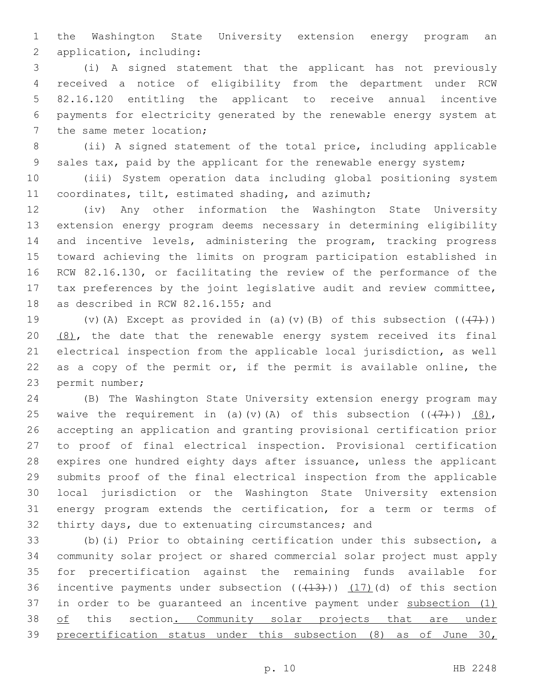the Washington State University extension energy program an 2 application, including:

 (i) A signed statement that the applicant has not previously received a notice of eligibility from the department under RCW 82.16.120 entitling the applicant to receive annual incentive payments for electricity generated by the renewable energy system at 7 the same meter location;

 (ii) A signed statement of the total price, including applicable sales tax, paid by the applicant for the renewable energy system;

 (iii) System operation data including global positioning system coordinates, tilt, estimated shading, and azimuth;

 (iv) Any other information the Washington State University extension energy program deems necessary in determining eligibility and incentive levels, administering the program, tracking progress toward achieving the limits on program participation established in RCW 82.16.130, or facilitating the review of the performance of the tax preferences by the joint legislative audit and review committee, 18 as described in RCW 82.16.155; and

19 (v)(A) Except as provided in (a)(v)(B) of this subsection  $((+7))$ ) 20  $(8)$ , the date that the renewable energy system received its final electrical inspection from the applicable local jurisdiction, as well as a copy of the permit or, if the permit is available online, the 23 permit number;

 (B) The Washington State University extension energy program may 25 waive the requirement in (a)(v)(A) of this subsection  $((+7+))$  (8), accepting an application and granting provisional certification prior to proof of final electrical inspection. Provisional certification expires one hundred eighty days after issuance, unless the applicant submits proof of the final electrical inspection from the applicable local jurisdiction or the Washington State University extension energy program extends the certification, for a term or terms of thirty days, due to extenuating circumstances; and

 (b)(i) Prior to obtaining certification under this subsection, a community solar project or shared commercial solar project must apply for precertification against the remaining funds available for 36 incentive payments under subsection  $((+13))$   $(17)$  (d) of this section 37 in order to be quaranteed an incentive payment under subsection (1) 38 of this section. Community solar projects that are under precertification status under this subsection (8) as of June 30,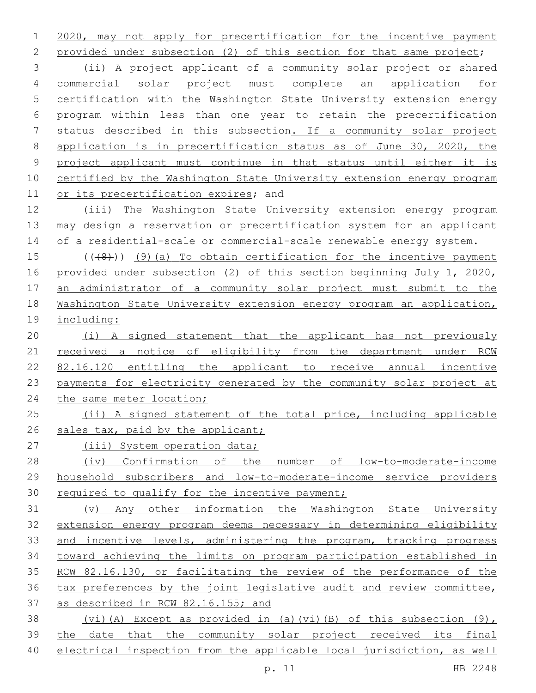2020, may not apply for precertification for the incentive payment

2 provided under subsection (2) of this section for that same project;

 (ii) A project applicant of a community solar project or shared commercial solar project must complete an application for certification with the Washington State University extension energy program within less than one year to retain the precertification status described in this subsection. If a community solar project application is in precertification status as of June 30, 2020, the project applicant must continue in that status until either it is certified by the Washington State University extension energy program 11 or its precertification expires; and

 (iii) The Washington State University extension energy program may design a reservation or precertification system for an applicant of a residential-scale or commercial-scale renewable energy system.

 $((48))$  (9)(a) To obtain certification for the incentive payment provided under subsection (2) of this section beginning July 1, 2020, an administrator of a community solar project must submit to the Washington State University extension energy program an application, including:

 (i) A signed statement that the applicant has not previously 21 received a notice of eligibility from the department under RCW 82.16.120 entitling the applicant to receive annual incentive payments for electricity generated by the community solar project at 24 the same meter location;

 (ii) A signed statement of the total price, including applicable 26 sales tax, paid by the applicant;

27 (iii) System operation data;

 (iv) Confirmation of the number of low-to-moderate-income household subscribers and low-to-moderate-income service providers 30 required to qualify for the incentive payment;

 (v) Any other information the Washington State University extension energy program deems necessary in determining eligibility 33 and incentive levels, administering the program, tracking progress toward achieving the limits on program participation established in RCW 82.16.130, or facilitating the review of the performance of the tax preferences by the joint legislative audit and review committee, as described in RCW 82.16.155; and

 (vi)(A) Except as provided in (a)(vi)(B) of this subsection (9), the date that the community solar project received its final electrical inspection from the applicable local jurisdiction, as well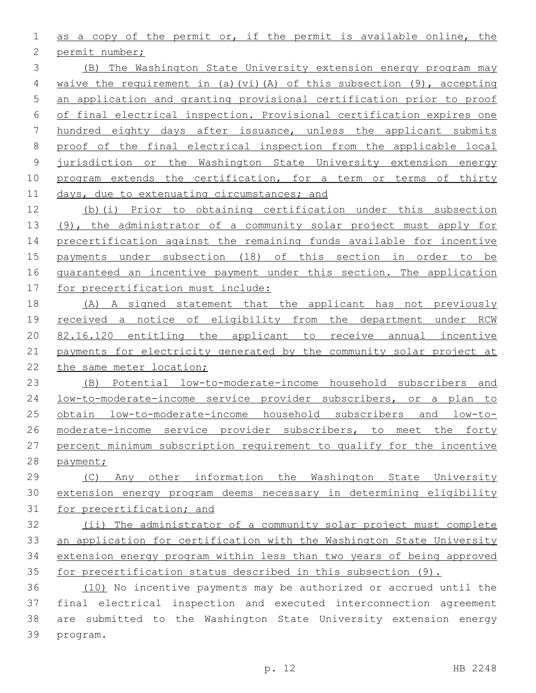as a copy of the permit or, if the permit is available online, the

2 permit number;

 (B) The Washington State University extension energy program may waive the requirement in (a)(vi)(A) of this subsection (9), accepting an application and granting provisional certification prior to proof of final electrical inspection. Provisional certification expires one hundred eighty days after issuance, unless the applicant submits proof of the final electrical inspection from the applicable local jurisdiction or the Washington State University extension energy 10 program extends the certification, for a term or terms of thirty 11 days, due to extenuating circumstances; and

 (b)(i) Prior to obtaining certification under this subsection (9), the administrator of a community solar project must apply for precertification against the remaining funds available for incentive payments under subsection (18) of this section in order to be guaranteed an incentive payment under this section. The application for precertification must include:

 (A) A signed statement that the applicant has not previously 19 received a notice of eligibility from the department under RCW 82.16.120 entitling the applicant to receive annual incentive payments for electricity generated by the community solar project at 22 the same meter location;

 (B) Potential low-to-moderate-income household subscribers and low-to-moderate-income service provider subscribers, or a plan to obtain low-to-moderate-income household subscribers and low-to-26 moderate-income service provider subscribers, to meet the forty percent minimum subscription requirement to qualify for the incentive payment;

 (C) Any other information the Washington State University extension energy program deems necessary in determining eligibility for precertification; and

 (ii) The administrator of a community solar project must complete an application for certification with the Washington State University extension energy program within less than two years of being approved for precertification status described in this subsection (9).

 (10) No incentive payments may be authorized or accrued until the final electrical inspection and executed interconnection agreement are submitted to the Washington State University extension energy 39 program.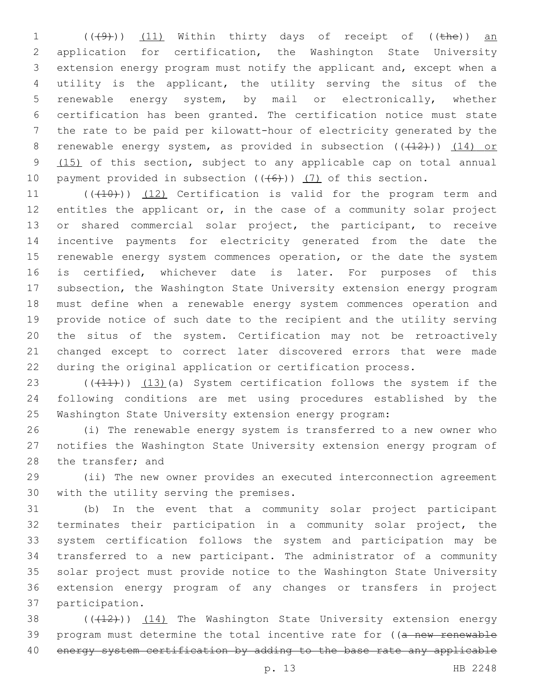(( $(49)$ )) (11) Within thirty days of receipt of (( $the$ )) an application for certification, the Washington State University extension energy program must notify the applicant and, except when a utility is the applicant, the utility serving the situs of the renewable energy system, by mail or electronically, whether certification has been granted. The certification notice must state the rate to be paid per kilowatt-hour of electricity generated by the 8 renewable energy system, as provided in subsection  $((+12))$   $(14)$  or 9 (15) of this section, subject to any applicable cap on total annual 10 payment provided in subsection  $((+6))$   $(7)$  of this section.

11 (((410))) (12) Certification is valid for the program term and entitles the applicant or, in the case of a community solar project or shared commercial solar project, the participant, to receive incentive payments for electricity generated from the date the 15 renewable energy system commences operation, or the date the system is certified, whichever date is later. For purposes of this subsection, the Washington State University extension energy program must define when a renewable energy system commences operation and provide notice of such date to the recipient and the utility serving the situs of the system. Certification may not be retroactively changed except to correct later discovered errors that were made during the original application or certification process.

23  $((+11))$   $(13)$  (a) System certification follows the system if the following conditions are met using procedures established by the Washington State University extension energy program:

 (i) The renewable energy system is transferred to a new owner who notifies the Washington State University extension energy program of 28 the transfer; and

 (ii) The new owner provides an executed interconnection agreement 30 with the utility serving the premises.

 (b) In the event that a community solar project participant terminates their participation in a community solar project, the system certification follows the system and participation may be transferred to a new participant. The administrator of a community solar project must provide notice to the Washington State University extension energy program of any changes or transfers in project 37 participation.

38 (((412))) (14) The Washington State University extension energy 39 program must determine the total incentive rate for ((a new renewable 40 energy system certification by adding to the base rate any applicable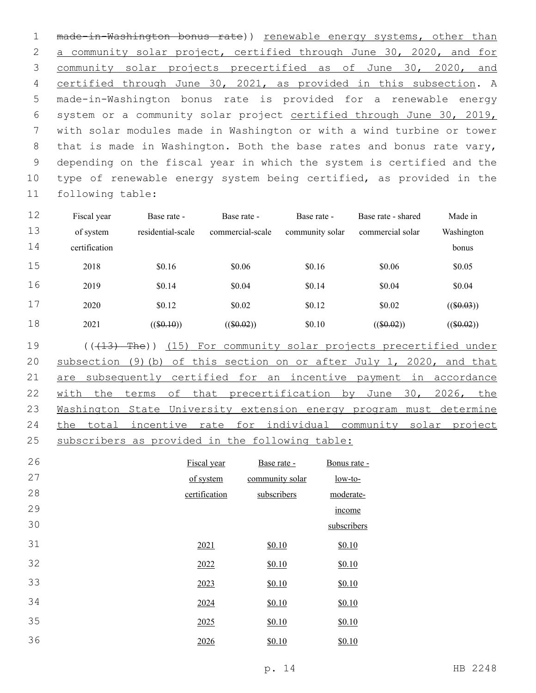1 made-in-Washington bonus rate)) renewable energy systems, other than a community solar project, certified through June 30, 2020, and for community solar projects precertified as of June 30, 2020, and certified through June 30, 2021, as provided in this subsection. A made-in-Washington bonus rate is provided for a renewable energy system or a community solar project certified through June 30, 2019, with solar modules made in Washington or with a wind turbine or tower 8 that is made in Washington. Both the base rates and bonus rate vary, depending on the fiscal year in which the system is certified and the type of renewable energy system being certified, as provided in the 11 following table:

| 12 | Fiscal year   | Base rate -       | Base rate -      | Base rate -     | Base rate - shared | Made in      |
|----|---------------|-------------------|------------------|-----------------|--------------------|--------------|
| 13 | of system     | residential-scale | commercial-scale | community solar | commercial solar   | Washington   |
| 14 | certification |                   |                  |                 |                    | bonus        |
| 15 | 2018          | \$0.16            | \$0.06           | \$0.16          | \$0.06             | \$0.05       |
| 16 | 2019          | \$0.14            | \$0.04           | \$0.14          | \$0.04             | \$0.04       |
| 17 | 2020          | \$0.12            | \$0.02           | \$0.12          | \$0.02             | $((\$0.03))$ |
| 18 | 2021          | $((\$0.10))$      | $((\$0.02))$     | \$0.10          | $((\$0.02))$       | $((\$0.02))$ |

19 (((413) The)) (15) For community solar projects precertified under 20 subsection (9)(b) of this section on or after July 1, 2020, and that 21 are subsequently certified for an incentive payment in accordance 22 with the terms of that precertification by June 30, 2026, the 23 Washington State University extension energy program must determine 24 the total incentive rate for individual community solar project 25 subscribers as provided in the following table:

| 26 | Fiscal year   | Base rate -     | Bonus rate - |
|----|---------------|-----------------|--------------|
| 27 | of system     | community solar | $low-to-$    |
| 28 | certification | subscribers     | moderate-    |
| 29 |               |                 | income       |
| 30 |               |                 | subscribers  |
| 31 | 2021          | \$0.10          | \$0.10       |
| 32 | 2022          | \$0.10          | \$0.10       |
| 33 | 2023          | \$0.10          | \$0.10       |
| 34 | 2024          | \$0.10          | \$0.10       |
| 35 | 2025          | \$0.10          | \$0.10       |
| 36 | 2026          | \$0.10          | \$0.10       |
|    |               |                 |              |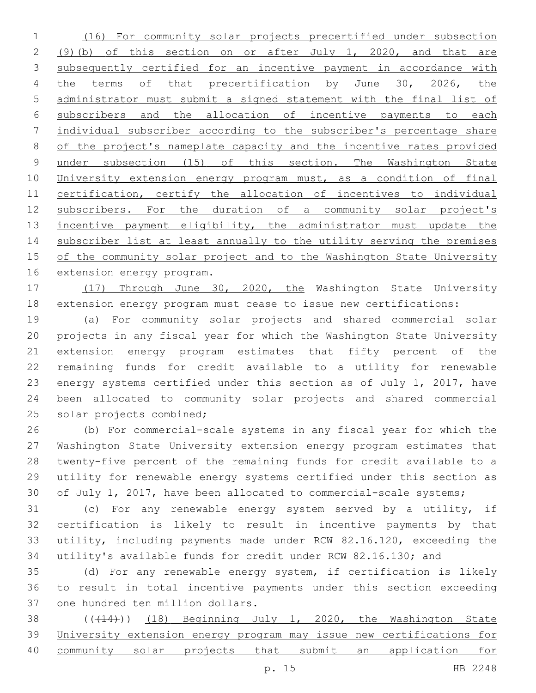(16) For community solar projects precertified under subsection (9)(b) of this section on or after July 1, 2020, and that are subsequently certified for an incentive payment in accordance with 4 the terms of that precertification by June 30, 2026, the administrator must submit a signed statement with the final list of subscribers and the allocation of incentive payments to each individual subscriber according to the subscriber's percentage share of the project's nameplate capacity and the incentive rates provided under subsection (15) of this section. The Washington State University extension energy program must, as a condition of final certification, certify the allocation of incentives to individual 12 subscribers. For the duration of a community solar project's 13 incentive payment eligibility, the administrator must update the subscriber list at least annually to the utility serving the premises of the community solar project and to the Washington State University extension energy program.

 (17) Through June 30, 2020, the Washington State University extension energy program must cease to issue new certifications:

 (a) For community solar projects and shared commercial solar projects in any fiscal year for which the Washington State University extension energy program estimates that fifty percent of the remaining funds for credit available to a utility for renewable energy systems certified under this section as of July 1, 2017, have been allocated to community solar projects and shared commercial 25 solar projects combined;

 (b) For commercial-scale systems in any fiscal year for which the Washington State University extension energy program estimates that twenty-five percent of the remaining funds for credit available to a utility for renewable energy systems certified under this section as 30 of July 1, 2017, have been allocated to commercial-scale systems;

 (c) For any renewable energy system served by a utility, if certification is likely to result in incentive payments by that utility, including payments made under RCW 82.16.120, exceeding the utility's available funds for credit under RCW 82.16.130; and

 (d) For any renewable energy system, if certification is likely to result in total incentive payments under this section exceeding 37 one hundred ten million dollars.

38 ((+14))) (18) Beginning July 1, 2020, the Washington State University extension energy program may issue new certifications for community solar projects that submit an application for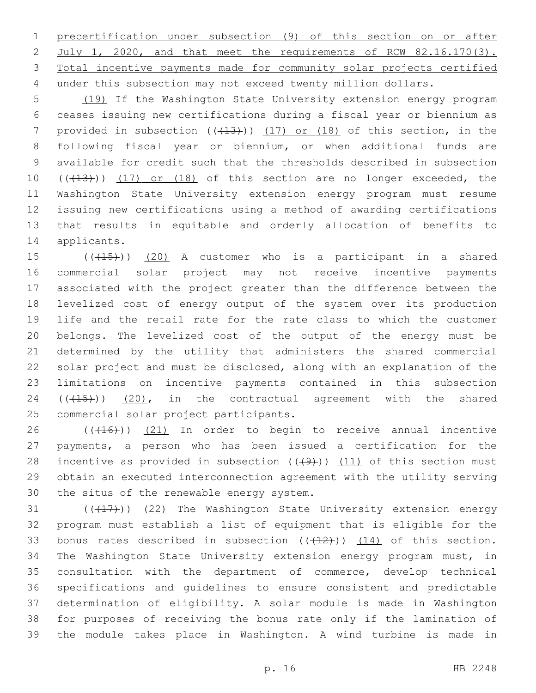precertification under subsection (9) of this section on or after 2 July 1, 2020, and that meet the requirements of RCW 82.16.170(3). Total incentive payments made for community solar projects certified 4 under this subsection may not exceed twenty million dollars.

 (19) If the Washington State University extension energy program ceases issuing new certifications during a fiscal year or biennium as 7 provided in subsection  $((+13))$   $(17)$  or  $(18)$  of this section, in the following fiscal year or biennium, or when additional funds are available for credit such that the thresholds described in subsection 10 (((13))) (17) or (18) of this section are no longer exceeded, the Washington State University extension energy program must resume issuing new certifications using a method of awarding certifications that results in equitable and orderly allocation of benefits to 14 applicants.

 ( $(415)$ ))  $(20)$  A customer who is a participant in a shared commercial solar project may not receive incentive payments associated with the project greater than the difference between the levelized cost of energy output of the system over its production life and the retail rate for the rate class to which the customer belongs. The levelized cost of the output of the energy must be determined by the utility that administers the shared commercial solar project and must be disclosed, along with an explanation of the limitations on incentive payments contained in this subsection  $((+15))$   $(20)$ , in the contractual agreement with the shared 25 commercial solar project participants.

26 (((16))) (21) In order to begin to receive annual incentive payments, a person who has been issued a certification for the 28 incentive as provided in subsection  $((+9))$   $(11)$  of this section must obtain an executed interconnection agreement with the utility serving 30 the situs of the renewable energy system.

 $(1, 17)$  ( $(22)$  The Washington State University extension energy program must establish a list of equipment that is eligible for the 33 bonus rates described in subsection  $((+12))$   $(14)$  of this section. The Washington State University extension energy program must, in consultation with the department of commerce, develop technical specifications and guidelines to ensure consistent and predictable determination of eligibility. A solar module is made in Washington for purposes of receiving the bonus rate only if the lamination of the module takes place in Washington. A wind turbine is made in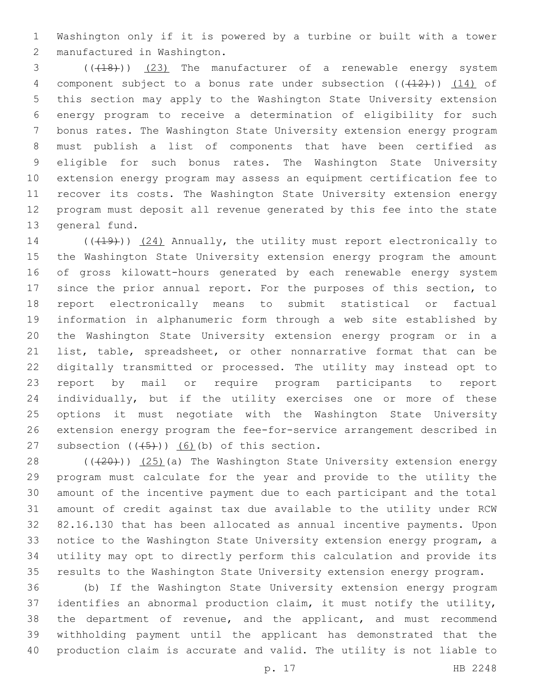Washington only if it is powered by a turbine or built with a tower manufactured in Washington.2

3 (( $(18)$ )) (23) The manufacturer of a renewable energy system 4 component subject to a bonus rate under subsection  $((+12))$   $(14)$  of this section may apply to the Washington State University extension energy program to receive a determination of eligibility for such bonus rates. The Washington State University extension energy program must publish a list of components that have been certified as eligible for such bonus rates. The Washington State University extension energy program may assess an equipment certification fee to recover its costs. The Washington State University extension energy program must deposit all revenue generated by this fee into the state 13 general fund.

14 (((19))) (24) Annually, the utility must report electronically to the Washington State University extension energy program the amount of gross kilowatt-hours generated by each renewable energy system since the prior annual report. For the purposes of this section, to report electronically means to submit statistical or factual information in alphanumeric form through a web site established by the Washington State University extension energy program or in a list, table, spreadsheet, or other nonnarrative format that can be digitally transmitted or processed. The utility may instead opt to report by mail or require program participants to report individually, but if the utility exercises one or more of these options it must negotiate with the Washington State University extension energy program the fee-for-service arrangement described in 27 subsection  $((+5+))$   $(6)$  (b) of this section.

28 (((20))) (25)(a) The Washington State University extension energy program must calculate for the year and provide to the utility the amount of the incentive payment due to each participant and the total amount of credit against tax due available to the utility under RCW 82.16.130 that has been allocated as annual incentive payments. Upon notice to the Washington State University extension energy program, a utility may opt to directly perform this calculation and provide its results to the Washington State University extension energy program.

 (b) If the Washington State University extension energy program identifies an abnormal production claim, it must notify the utility, the department of revenue, and the applicant, and must recommend withholding payment until the applicant has demonstrated that the production claim is accurate and valid. The utility is not liable to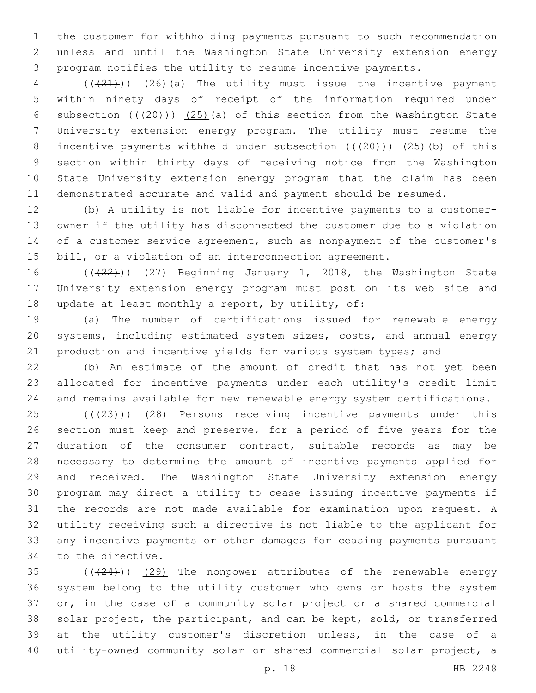the customer for withholding payments pursuant to such recommendation unless and until the Washington State University extension energy program notifies the utility to resume incentive payments.

4 (( $(21)$ )) (26)(a) The utility must issue the incentive payment within ninety days of receipt of the information required under 6 subsection  $((20))$   $(25)$  (a) of this section from the Washington State University extension energy program. The utility must resume the 8 incentive payments withheld under subsection  $((+20))$   $(25)$  (b) of this section within thirty days of receiving notice from the Washington State University extension energy program that the claim has been demonstrated accurate and valid and payment should be resumed.

 (b) A utility is not liable for incentive payments to a customer- owner if the utility has disconnected the customer due to a violation of a customer service agreement, such as nonpayment of the customer's bill, or a violation of an interconnection agreement.

16 (((22)) (27) Beginning January 1, 2018, the Washington State University extension energy program must post on its web site and 18 update at least monthly a report, by utility, of:

 (a) The number of certifications issued for renewable energy systems, including estimated system sizes, costs, and annual energy production and incentive yields for various system types; and

 (b) An estimate of the amount of credit that has not yet been allocated for incentive payments under each utility's credit limit and remains available for new renewable energy system certifications.

25 (((23))) (28) Persons receiving incentive payments under this section must keep and preserve, for a period of five years for the duration of the consumer contract, suitable records as may be necessary to determine the amount of incentive payments applied for and received. The Washington State University extension energy program may direct a utility to cease issuing incentive payments if the records are not made available for examination upon request. A utility receiving such a directive is not liable to the applicant for any incentive payments or other damages for ceasing payments pursuant 34 to the directive.

 ( $(\frac{24}{12})$ ) (29) The nonpower attributes of the renewable energy system belong to the utility customer who owns or hosts the system or, in the case of a community solar project or a shared commercial solar project, the participant, and can be kept, sold, or transferred at the utility customer's discretion unless, in the case of a utility-owned community solar or shared commercial solar project, a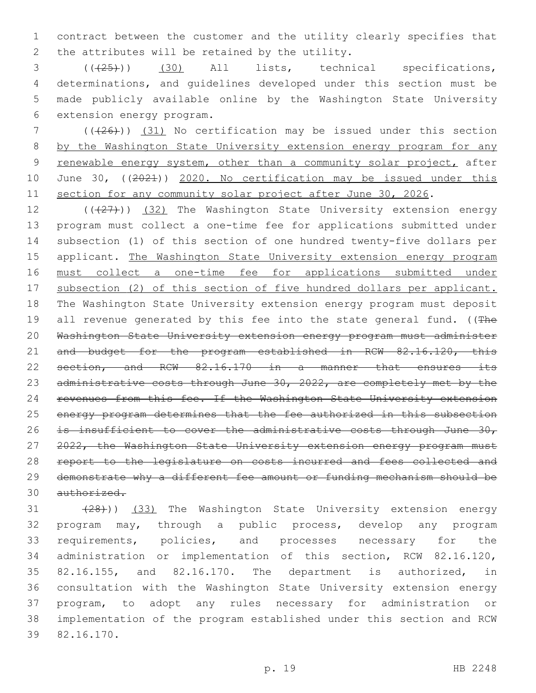1 contract between the customer and the utility clearly specifies that 2 the attributes will be retained by the utility.

 (((25))) (30) All lists, technical specifications, determinations, and guidelines developed under this section must be made publicly available online by the Washington State University 6 extension energy program.

7 (((26))) (31) No certification may be issued under this section 8 by the Washington State University extension energy program for any 9 renewable energy system, other than a community solar project, after 10 June 30, ((2021)) 2020. No certification may be issued under this 11 section for any community solar project after June 30, 2026.

12 (((27))) (32) The Washington State University extension energy 13 program must collect a one-time fee for applications submitted under 14 subsection (1) of this section of one hundred twenty-five dollars per 15 applicant. The Washington State University extension energy program 16 must collect a one-time fee for applications submitted under 17 subsection (2) of this section of five hundred dollars per applicant. 18 The Washington State University extension energy program must deposit 19 all revenue generated by this fee into the state general fund. ((The 20 Washington State University extension energy program must administer 21 and budget for the program established in RCW 82.16.120, this 22 section, and RCW 82.16.170 in a manner that ensures its 23 administrative costs through June 30, 2022, are completely met by the 24 revenues from this fee. If the Washington State University extension 25 energy program determines that the fee authorized in this subsection 26 is insufficient to cover the administrative costs through June 30, 27 2022, the Washington State University extension energy program must 28 report to the legislature on costs incurred and fees collected and 29 demonstrate why a different fee amount or funding mechanism should be 30 authorized.

31 (28)) (33) The Washington State University extension energy program may, through a public process, develop any program requirements, policies, and processes necessary for the administration or implementation of this section, RCW 82.16.120, 82.16.155, and 82.16.170. The department is authorized, in consultation with the Washington State University extension energy program, to adopt any rules necessary for administration or implementation of the program established under this section and RCW 82.16.170.39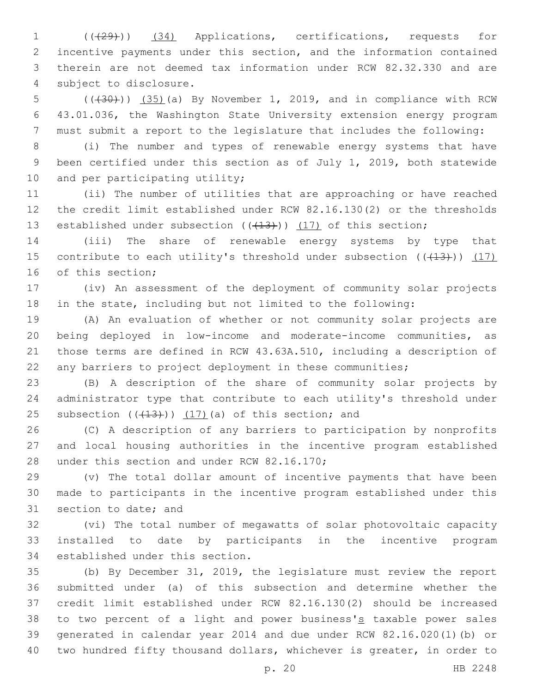(((29))) (34) Applications, certifications, requests for incentive payments under this section, and the information contained therein are not deemed tax information under RCW 82.32.330 and are 4 subject to disclosure.

 $(1, 30)$  (( $(35)$ )(a) By November 1, 2019, and in compliance with RCW 43.01.036, the Washington State University extension energy program must submit a report to the legislature that includes the following:

 (i) The number and types of renewable energy systems that have been certified under this section as of July 1, 2019, both statewide 10 and per participating utility;

 (ii) The number of utilities that are approaching or have reached the credit limit established under RCW 82.16.130(2) or the thresholds 13 established under subsection  $((+13))$   $(17)$  of this section;

 (iii) The share of renewable energy systems by type that 15 contribute to each utility's threshold under subsection  $((+13))$   $(17)$ 16 of this section;

 (iv) An assessment of the deployment of community solar projects in the state, including but not limited to the following:

 (A) An evaluation of whether or not community solar projects are being deployed in low-income and moderate-income communities, as those terms are defined in RCW 43.63A.510, including a description of any barriers to project deployment in these communities;

 (B) A description of the share of community solar projects by administrator type that contribute to each utility's threshold under Subsection  $((+13))$   $(17)$  (a) of this section; and

 (C) A description of any barriers to participation by nonprofits and local housing authorities in the incentive program established 28 under this section and under RCW 82.16.170;

 (v) The total dollar amount of incentive payments that have been made to participants in the incentive program established under this 31 section to date; and

 (vi) The total number of megawatts of solar photovoltaic capacity installed to date by participants in the incentive program 34 established under this section.

 (b) By December 31, 2019, the legislature must review the report submitted under (a) of this subsection and determine whether the credit limit established under RCW 82.16.130(2) should be increased 38 to two percent of a light and power business's taxable power sales generated in calendar year 2014 and due under RCW 82.16.020(1)(b) or two hundred fifty thousand dollars, whichever is greater, in order to

p. 20 HB 2248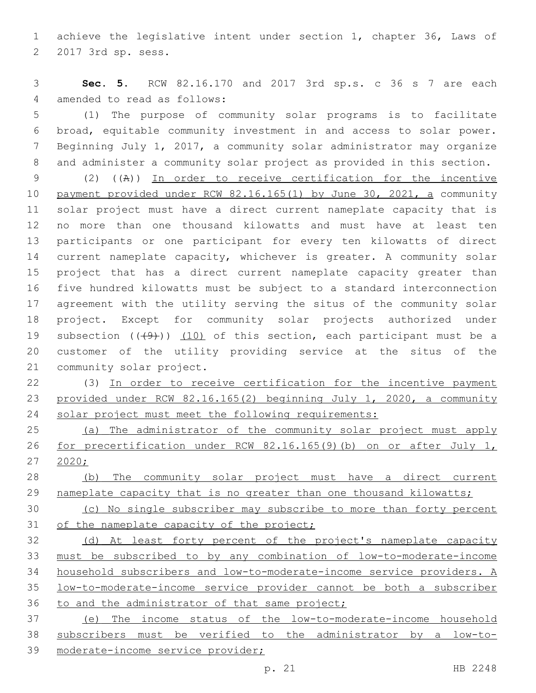achieve the legislative intent under section 1, chapter 36, Laws of 2 2017 3rd sp. sess.

 **Sec. 5.** RCW 82.16.170 and 2017 3rd sp.s. c 36 s 7 are each 4 amended to read as follows:

 (1) The purpose of community solar programs is to facilitate broad, equitable community investment in and access to solar power. Beginning July 1, 2017, a community solar administrator may organize and administer a community solar project as provided in this section.

 (2) ((A)) In order to receive certification for the incentive payment provided under RCW 82.16.165(1) by June 30, 2021, a community solar project must have a direct current nameplate capacity that is no more than one thousand kilowatts and must have at least ten participants or one participant for every ten kilowatts of direct current nameplate capacity, whichever is greater. A community solar project that has a direct current nameplate capacity greater than five hundred kilowatts must be subject to a standard interconnection agreement with the utility serving the situs of the community solar project. Except for community solar projects authorized under 19 subsection  $((+9+))$  (10) of this section, each participant must be a customer of the utility providing service at the situs of the 21 community solar project.

 (3) In order to receive certification for the incentive payment provided under RCW 82.16.165(2) beginning July 1, 2020, a community 24 solar project must meet the following requirements:

 (a) The administrator of the community solar project must apply for precertification under RCW 82.16.165(9)(b) on or after July 1, 27 2020;

 (b) The community solar project must have a direct current 29 nameplate capacity that is no greater than one thousand kilowatts;

 (c) No single subscriber may subscribe to more than forty percent 31 of the nameplate capacity of the project;

 (d) At least forty percent of the project's nameplate capacity must be subscribed to by any combination of low-to-moderate-income household subscribers and low-to-moderate-income service providers. A low-to-moderate-income service provider cannot be both a subscriber 36 to and the administrator of that same project;

 (e) The income status of the low-to-moderate-income household subscribers must be verified to the administrator by a low-to-moderate-income service provider;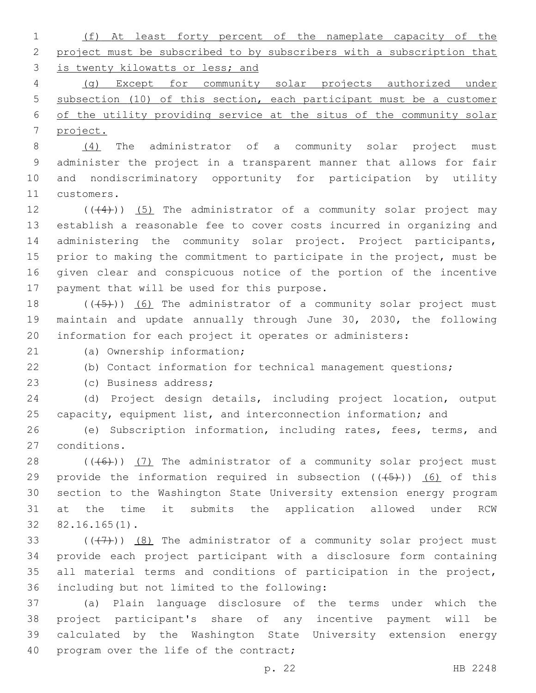| $1 \qquad \qquad$ |                                    |  |  |  |  | (f) At least forty percent of the nameplate capacity of the             |  |
|-------------------|------------------------------------|--|--|--|--|-------------------------------------------------------------------------|--|
|                   |                                    |  |  |  |  | 2 project must be subscribed to by subscribers with a subscription that |  |
|                   | 3 is twenty kilowatts or less; and |  |  |  |  |                                                                         |  |

4 (g) Except for community solar projects authorized under 5 subsection (10) of this section, each participant must be a customer 6 of the utility providing service at the situs of the community solar 7 project.

 (4) The administrator of a community solar project must administer the project in a transparent manner that allows for fair and nondiscriminatory opportunity for participation by utility 11 customers.

 $((+4))$   $(5)$  The administrator of a community solar project may establish a reasonable fee to cover costs incurred in organizing and 14 administering the community solar project. Project participants, prior to making the commitment to participate in the project, must be given clear and conspicuous notice of the portion of the incentive 17 payment that will be used for this purpose.

18  $((+5+))$  (6) The administrator of a community solar project must 19 maintain and update annually through June 30, 2030, the following 20 information for each project it operates or administers:

21 (a) Ownership information;

22 (b) Contact information for technical management questions;

23 (c) Business address;

24 (d) Project design details, including project location, output 25 capacity, equipment list, and interconnection information; and

26 (e) Subscription information, including rates, fees, terms, and conditions.27

28  $((+6))$   $(7)$  The administrator of a community solar project must 29 provide the information required in subsection  $((+5))$  (6) of this 30 section to the Washington State University extension energy program 31 at the time it submits the application allowed under RCW 82.16.165(1).32

 $((+7+))$   $(8)$  The administrator of a community solar project must provide each project participant with a disclosure form containing all material terms and conditions of participation in the project, 36 including but not limited to the following:

 (a) Plain language disclosure of the terms under which the project participant's share of any incentive payment will be calculated by the Washington State University extension energy 40 program over the life of the contract;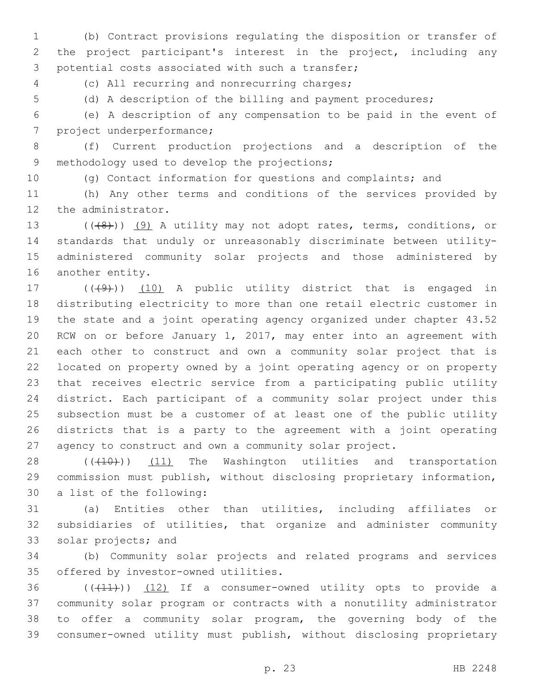(b) Contract provisions regulating the disposition or transfer of the project participant's interest in the project, including any 3 potential costs associated with such a transfer;

4 (c) All recurring and nonrecurring charges;

(d) A description of the billing and payment procedures;

 (e) A description of any compensation to be paid in the event of 7 project underperformance;

 (f) Current production projections and a description of the 9 methodology used to develop the projections;

(g) Contact information for questions and complaints; and

 (h) Any other terms and conditions of the services provided by 12 the administrator.

13 (((8)) (9) A utility may not adopt rates, terms, conditions, or standards that unduly or unreasonably discriminate between utility- administered community solar projects and those administered by 16 another entity.

17 (((49))) (10) A public utility district that is engaged in distributing electricity to more than one retail electric customer in the state and a joint operating agency organized under chapter 43.52 RCW on or before January 1, 2017, may enter into an agreement with each other to construct and own a community solar project that is located on property owned by a joint operating agency or on property that receives electric service from a participating public utility district. Each participant of a community solar project under this subsection must be a customer of at least one of the public utility districts that is a party to the agreement with a joint operating agency to construct and own a community solar project.

28 (((10)) (11) The Washington utilities and transportation commission must publish, without disclosing proprietary information, 30 a list of the following:

 (a) Entities other than utilities, including affiliates or subsidiaries of utilities, that organize and administer community 33 solar projects; and

 (b) Community solar projects and related programs and services 35 offered by investor-owned utilities.

 ( $(\overline{+11})$ )  $(12)$  If a consumer-owned utility opts to provide a community solar program or contracts with a nonutility administrator to offer a community solar program, the governing body of the consumer-owned utility must publish, without disclosing proprietary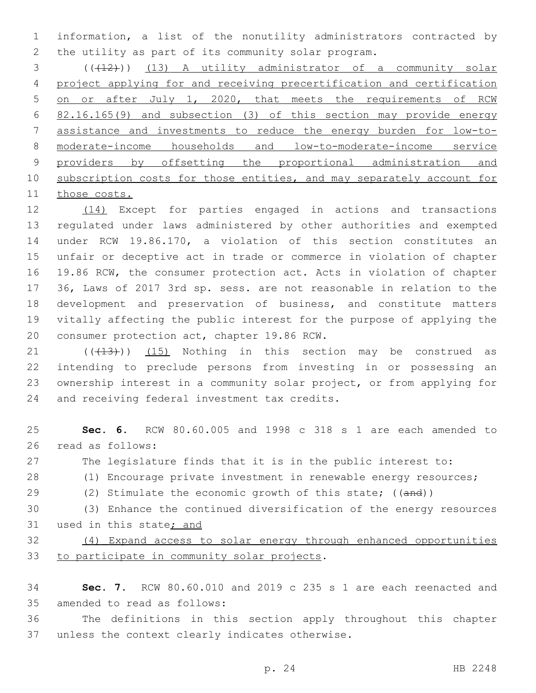information, a list of the nonutility administrators contracted by the utility as part of its community solar program.

3 (( $(12)$ )) (13) A utility administrator of a community solar project applying for and receiving precertification and certification 5 on or after July 1, 2020, that meets the requirements of RCW 82.16.165(9) and subsection (3) of this section may provide energy assistance and investments to reduce the energy burden for low-to- moderate-income households and low-to-moderate-income service 9 providers by offsetting the proportional administration and subscription costs for those entities, and may separately account for those costs.

 (14) Except for parties engaged in actions and transactions regulated under laws administered by other authorities and exempted under RCW 19.86.170, a violation of this section constitutes an unfair or deceptive act in trade or commerce in violation of chapter 19.86 RCW, the consumer protection act. Acts in violation of chapter 36, Laws of 2017 3rd sp. sess. are not reasonable in relation to the development and preservation of business, and constitute matters vitally affecting the public interest for the purpose of applying the 20 consumer protection act, chapter 19.86 RCW.

 $(1)$  ( $(13)$ ))  $(15)$  Nothing in this section may be construed as intending to preclude persons from investing in or possessing an ownership interest in a community solar project, or from applying for 24 and receiving federal investment tax credits.

 **Sec. 6.** RCW 80.60.005 and 1998 c 318 s 1 are each amended to 26 read as follows: The legislature finds that it is in the public interest to: (1) Encourage private investment in renewable energy resources; 29 (2) Stimulate the economic growth of this state; ((and)) (3) Enhance the continued diversification of the energy resources 31 used in this state; and (4) Expand access to solar energy through enhanced opportunities 33 to participate in community solar projects.

 **Sec. 7.** RCW 80.60.010 and 2019 c 235 s 1 are each reenacted and 35 amended to read as follows:

 The definitions in this section apply throughout this chapter 37 unless the context clearly indicates otherwise.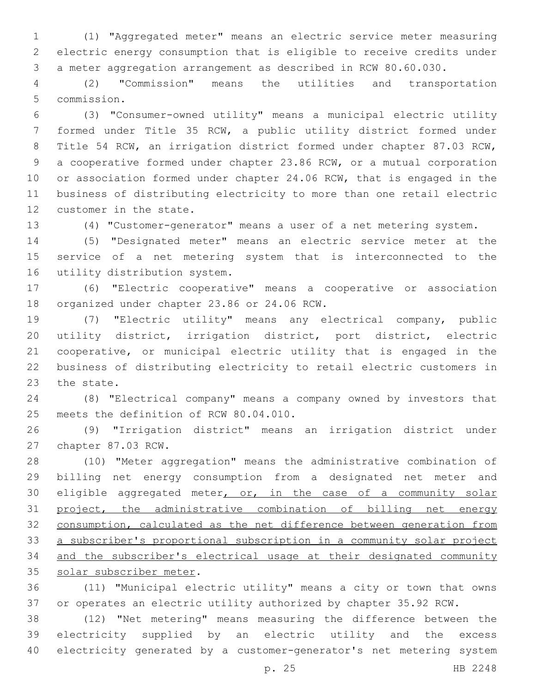(1) "Aggregated meter" means an electric service meter measuring electric energy consumption that is eligible to receive credits under a meter aggregation arrangement as described in RCW 80.60.030.

 (2) "Commission" means the utilities and transportation 5 commission.

 (3) "Consumer-owned utility" means a municipal electric utility formed under Title 35 RCW, a public utility district formed under Title 54 RCW, an irrigation district formed under chapter 87.03 RCW, a cooperative formed under chapter 23.86 RCW, or a mutual corporation or association formed under chapter 24.06 RCW, that is engaged in the business of distributing electricity to more than one retail electric 12 customer in the state.

(4) "Customer-generator" means a user of a net metering system.

 (5) "Designated meter" means an electric service meter at the service of a net metering system that is interconnected to the 16 utility distribution system.

 (6) "Electric cooperative" means a cooperative or association 18 organized under chapter 23.86 or 24.06 RCW.

 (7) "Electric utility" means any electrical company, public utility district, irrigation district, port district, electric cooperative, or municipal electric utility that is engaged in the business of distributing electricity to retail electric customers in 23 the state.

 (8) "Electrical company" means a company owned by investors that 25 meets the definition of RCW 80.04.010.

 (9) "Irrigation district" means an irrigation district under 27 chapter 87.03 RCW.

 (10) "Meter aggregation" means the administrative combination of billing net energy consumption from a designated net meter and 30 eligible aggregated meter, or, in the case of a community solar project, the administrative combination of billing net energy consumption, calculated as the net difference between generation from a subscriber's proportional subscription in a community solar project and the subscriber's electrical usage at their designated community 35 solar subscriber meter.

 (11) "Municipal electric utility" means a city or town that owns or operates an electric utility authorized by chapter 35.92 RCW.

 (12) "Net metering" means measuring the difference between the electricity supplied by an electric utility and the excess electricity generated by a customer-generator's net metering system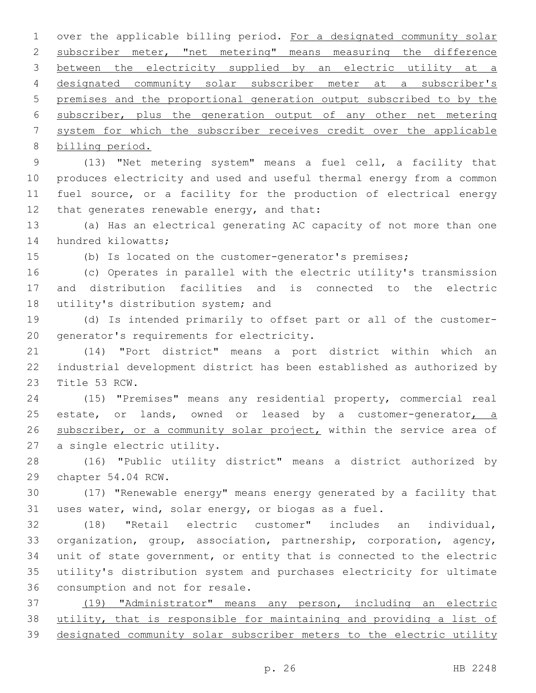over the applicable billing period. For a designated community solar subscriber meter, "net metering" means measuring the difference between the electricity supplied by an electric utility at a designated community solar subscriber meter at a subscriber's premises and the proportional generation output subscribed to by the subscriber, plus the generation output of any other net metering system for which the subscriber receives credit over the applicable billing period.

 (13) "Net metering system" means a fuel cell, a facility that produces electricity and used and useful thermal energy from a common fuel source, or a facility for the production of electrical energy 12 that generates renewable energy, and that:

 (a) Has an electrical generating AC capacity of not more than one 14 hundred kilowatts;

(b) Is located on the customer-generator's premises;

 (c) Operates in parallel with the electric utility's transmission and distribution facilities and is connected to the electric 18 utility's distribution system; and

 (d) Is intended primarily to offset part or all of the customer-20 generator's requirements for electricity.

 (14) "Port district" means a port district within which an industrial development district has been established as authorized by 23 Title 53 RCW.

 (15) "Premises" means any residential property, commercial real 25 estate, or lands, owned or leased by a customer-generator, a 26 subscriber, or a community solar project, within the service area of 27 a single electric utility.

 (16) "Public utility district" means a district authorized by 29 chapter 54.04 RCW.

 (17) "Renewable energy" means energy generated by a facility that uses water, wind, solar energy, or biogas as a fuel.

 (18) "Retail electric customer" includes an individual, organization, group, association, partnership, corporation, agency, unit of state government, or entity that is connected to the electric utility's distribution system and purchases electricity for ultimate 36 consumption and not for resale.

 (19) "Administrator" means any person, including an electric utility, that is responsible for maintaining and providing a list of designated community solar subscriber meters to the electric utility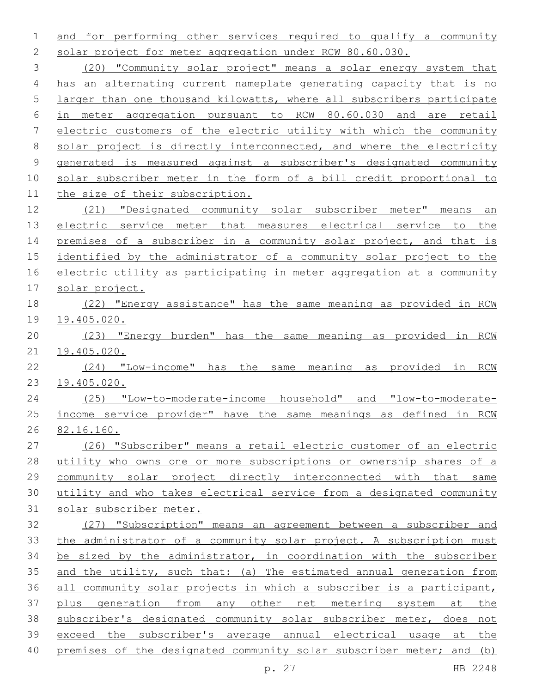and for performing other services required to qualify a community solar project for meter aggregation under RCW 80.60.030.

 (20) "Community solar project" means a solar energy system that has an alternating current nameplate generating capacity that is no larger than one thousand kilowatts, where all subscribers participate in meter aggregation pursuant to RCW 80.60.030 and are retail electric customers of the electric utility with which the community 8 solar project is directly interconnected, and where the electricity generated is measured against a subscriber's designated community solar subscriber meter in the form of a bill credit proportional to the size of their subscription.

 (21) "Designated community solar subscriber meter" means an 13 electric service meter that measures electrical service to the 14 premises of a subscriber in a community solar project, and that is identified by the administrator of a community solar project to the 16 electric utility as participating in meter aggregation at a community solar project.

 (22) "Energy assistance" has the same meaning as provided in RCW 19.405.020.

 (23) "Energy burden" has the same meaning as provided in RCW 19.405.020.

 (24) "Low-income" has the same meaning as provided in RCW 19.405.020.

 (25) "Low-to-moderate-income household" and "low-to-moderate- income service provider" have the same meanings as defined in RCW 82.16.160.

 (26) "Subscriber" means a retail electric customer of an electric 28 utility who owns one or more subscriptions or ownership shares of a community solar project directly interconnected with that same utility and who takes electrical service from a designated community solar subscriber meter.

 (27) "Subscription" means an agreement between a subscriber and 33 the administrator of a community solar project. A subscription must be sized by the administrator, in coordination with the subscriber and the utility, such that: (a) The estimated annual generation from all community solar projects in which a subscriber is a participant, 37 plus generation from any other net metering system at the subscriber's designated community solar subscriber meter, does not exceed the subscriber's average annual electrical usage at the premises of the designated community solar subscriber meter; and (b)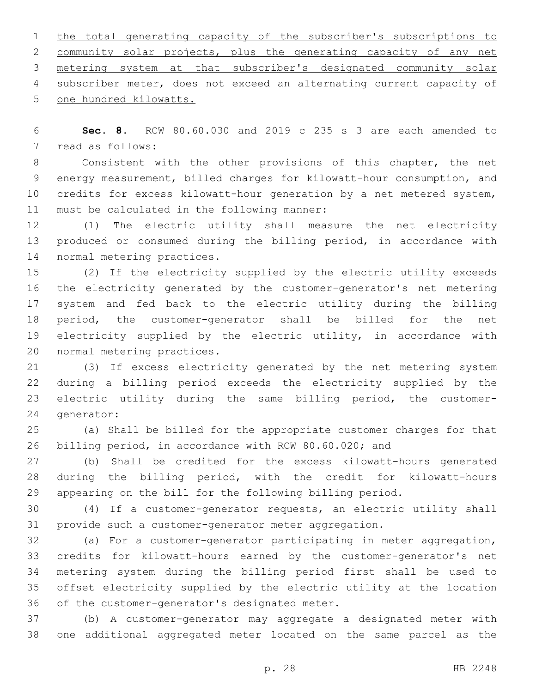1 the total generating capacity of the subscriber's subscriptions to community solar projects, plus the generating capacity of any net metering system at that subscriber's designated community solar subscriber meter, does not exceed an alternating current capacity of 5 one hundred kilowatts.

 **Sec. 8.** RCW 80.60.030 and 2019 c 235 s 3 are each amended to 7 read as follows:

 Consistent with the other provisions of this chapter, the net energy measurement, billed charges for kilowatt-hour consumption, and credits for excess kilowatt-hour generation by a net metered system, 11 must be calculated in the following manner:

 (1) The electric utility shall measure the net electricity produced or consumed during the billing period, in accordance with 14 normal metering practices.

 (2) If the electricity supplied by the electric utility exceeds the electricity generated by the customer-generator's net metering system and fed back to the electric utility during the billing period, the customer-generator shall be billed for the net electricity supplied by the electric utility, in accordance with 20 normal metering practices.

 (3) If excess electricity generated by the net metering system during a billing period exceeds the electricity supplied by the electric utility during the same billing period, the customer-24 generator:

 (a) Shall be billed for the appropriate customer charges for that billing period, in accordance with RCW 80.60.020; and

 (b) Shall be credited for the excess kilowatt-hours generated during the billing period, with the credit for kilowatt-hours appearing on the bill for the following billing period.

 (4) If a customer-generator requests, an electric utility shall provide such a customer-generator meter aggregation.

 (a) For a customer-generator participating in meter aggregation, credits for kilowatt-hours earned by the customer-generator's net metering system during the billing period first shall be used to offset electricity supplied by the electric utility at the location 36 of the customer-generator's designated meter.

 (b) A customer-generator may aggregate a designated meter with one additional aggregated meter located on the same parcel as the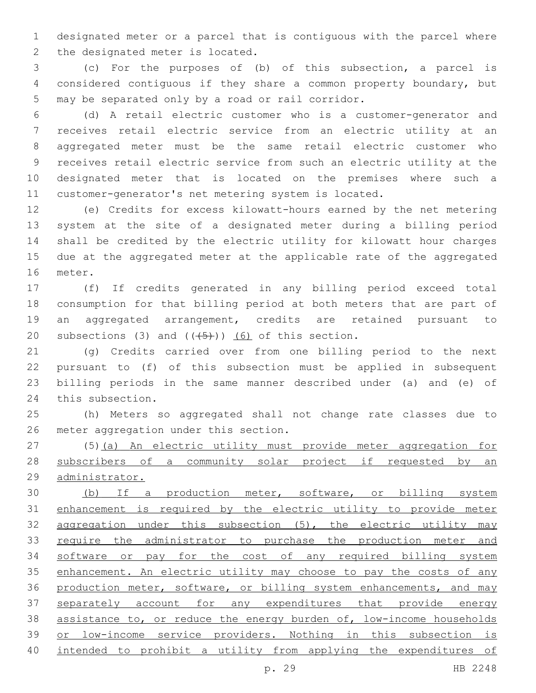designated meter or a parcel that is contiguous with the parcel where 2 the designated meter is located.

 (c) For the purposes of (b) of this subsection, a parcel is considered contiguous if they share a common property boundary, but 5 may be separated only by a road or rail corridor.

 (d) A retail electric customer who is a customer-generator and receives retail electric service from an electric utility at an aggregated meter must be the same retail electric customer who receives retail electric service from such an electric utility at the designated meter that is located on the premises where such a customer-generator's net metering system is located.

 (e) Credits for excess kilowatt-hours earned by the net metering system at the site of a designated meter during a billing period shall be credited by the electric utility for kilowatt hour charges due at the aggregated meter at the applicable rate of the aggregated 16 meter.

 (f) If credits generated in any billing period exceed total consumption for that billing period at both meters that are part of an aggregated arrangement, credits are retained pursuant to 20 subsections (3) and  $((+5))$  (6) of this section.

 (g) Credits carried over from one billing period to the next pursuant to (f) of this subsection must be applied in subsequent billing periods in the same manner described under (a) and (e) of 24 this subsection.

 (h) Meters so aggregated shall not change rate classes due to 26 meter aggregation under this section.

 (5)(a) An electric utility must provide meter aggregation for 28 subscribers of a community solar project if requested by an administrator.

30 (b) If a production meter, software, or billing system enhancement is required by the electric utility to provide meter aggregation under this subsection (5), the electric utility may 33 require the administrator to purchase the production meter and software or pay for the cost of any required billing system 35 enhancement. An electric utility may choose to pay the costs of any 36 production meter, software, or billing system enhancements, and may 37 separately account for any expenditures that provide energy assistance to, or reduce the energy burden of, low-income households or low-income service providers. Nothing in this subsection is intended to prohibit a utility from applying the expenditures of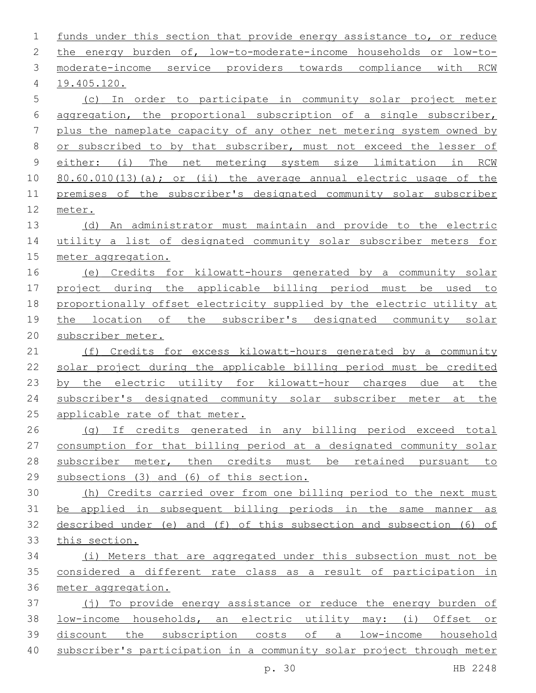| 1              | funds under this section that provide energy assistance to, or reduce |
|----------------|-----------------------------------------------------------------------|
| 2              | the energy burden of, low-to-moderate-income households or low-to-    |
| 3              | moderate-income service providers towards compliance with RCW         |
| 4              | 19.405.120.                                                           |
| 5              | (c) In order to participate in community solar project meter          |
| 6              | aggregation, the proportional subscription of a single subscriber,    |
| 7              | plus the nameplate capacity of any other net metering system owned by |
| 8              | or subscribed to by that subscriber, must not exceed the lesser of    |
| $\overline{9}$ | The net metering system size limitation in RCW<br>either: (i)         |
| 10             | 80.60.010(13)(a); or (ii) the average annual electric usage of the    |
| 11             | premises of the subscriber's designated community solar subscriber    |
| 12             | meter.                                                                |
| 13             | (d) An administrator must maintain and provide to the electric        |
| 14             | utility a list of designated community solar subscriber meters for    |
| 15             | meter aggregation.                                                    |
| 16             | Credits for kilowatt-hours generated by a community solar<br>(e)      |
| 17             | project during the applicable billing period must be used to          |
| 18             | proportionally offset electricity supplied by the electric utility at |
| 19             | the location of the subscriber's designated community solar           |
| 20             | subscriber meter.                                                     |
| 21             | (f) Credits for excess kilowatt-hours generated by a community        |
| 22             | solar project during the applicable billing period must be credited   |
| 23             | by the electric utility for kilowatt-hour charges due<br>at the       |
| 24             | subscriber's designated community solar subscriber meter<br>the<br>at |
| 25             | applicable rate of that meter.                                        |
| 26             | (q) If credits generated in any billing period exceed total           |
| 27             | consumption for that billing period at a designated community solar   |
| 28             | subscriber meter, then credits must be retained pursuant to           |
| 29             | subsections (3) and (6) of this section.                              |
| 30             | (h) Credits carried over from one billing period to the next must     |
| 31             | be applied in subsequent billing periods in the same manner as        |
| 32             | described under (e) and (f) of this subsection and subsection (6) of  |
| 33             | this section.                                                         |
| 34             | (i) Meters that are aggregated under this subsection must not be      |
| 35             | considered a different rate class as a result of participation in     |
| 36             | meter aggregation.                                                    |
| 37             | (j) To provide energy assistance or reduce the energy burden of       |
| 38             | low-income households, an electric utility may: (i) Offset or         |
| 39             | discount the subscription costs of a low-income household             |
| 40             | subscriber's participation in a community solar project through meter |
|                | HB 2248<br>p. 30                                                      |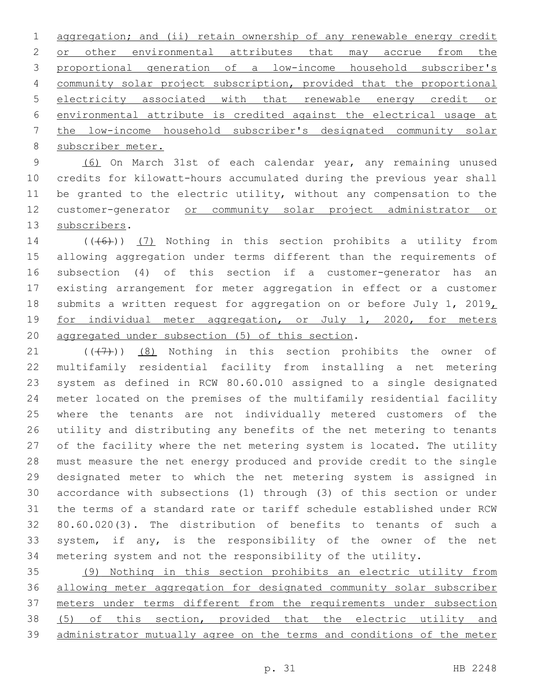1 aggregation; and (ii) retain ownership of any renewable energy credit 2 or other environmental attributes that may accrue from the proportional generation of a low-income household subscriber's community solar project subscription, provided that the proportional electricity associated with that renewable energy credit or environmental attribute is credited against the electrical usage at the low-income household subscriber's designated community solar 8 subscriber meter.

 (6) On March 31st of each calendar year, any remaining unused credits for kilowatt-hours accumulated during the previous year shall be granted to the electric utility, without any compensation to the customer-generator or community solar project administrator or 13 subscribers.

 $((+6+))$   $(7)$  Nothing in this section prohibits a utility from allowing aggregation under terms different than the requirements of subsection (4) of this section if a customer-generator has an existing arrangement for meter aggregation in effect or a customer 18 submits a written request for aggregation on or before July 1, 2019, for individual meter aggregation, or July 1, 2020, for meters 20 aggregated under subsection (5) of this section.

 $((+7+))$   $(8)$  Nothing in this section prohibits the owner of multifamily residential facility from installing a net metering system as defined in RCW 80.60.010 assigned to a single designated meter located on the premises of the multifamily residential facility where the tenants are not individually metered customers of the utility and distributing any benefits of the net metering to tenants of the facility where the net metering system is located. The utility must measure the net energy produced and provide credit to the single designated meter to which the net metering system is assigned in accordance with subsections (1) through (3) of this section or under the terms of a standard rate or tariff schedule established under RCW 80.60.020(3). The distribution of benefits to tenants of such a system, if any, is the responsibility of the owner of the net metering system and not the responsibility of the utility.

 (9) Nothing in this section prohibits an electric utility from allowing meter aggregation for designated community solar subscriber meters under terms different from the requirements under subsection (5) of this section, provided that the electric utility and administrator mutually agree on the terms and conditions of the meter